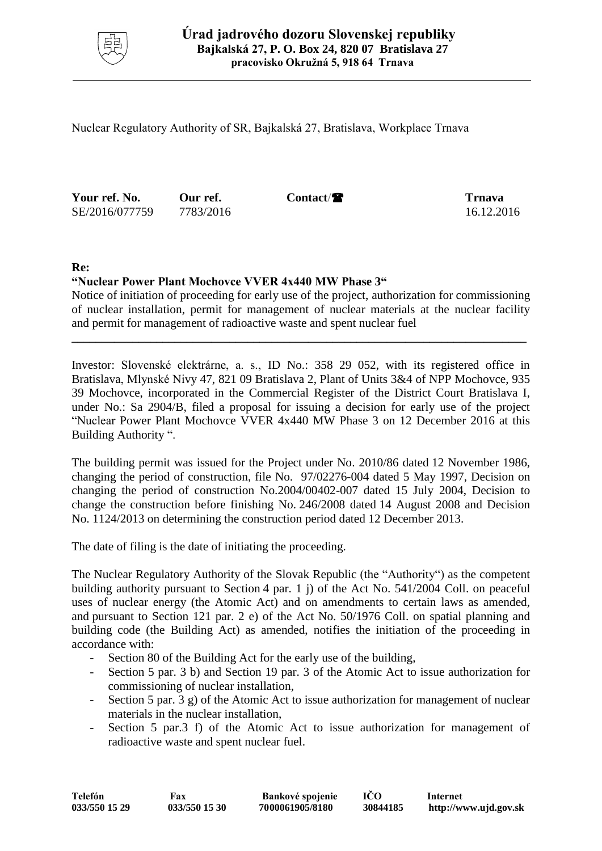

Nuclear Regulatory Authority of SR, Bajkalská 27, Bratislava, Workplace Trnava

**Your ref. No. Our ref. Contact/ Trnava** SE/2016/077759 7783/2016 16.12.2016

## **Re:**

## **"Nuclear Power Plant Mochovce VVER 4x440 MW Phase 3"**

Notice of initiation of proceeding for early use of the project, authorization for commissioning of nuclear installation, permit for management of nuclear materials at the nuclear facility and permit for management of radioactive waste and spent nuclear fuel

\_\_\_\_\_\_\_\_\_\_\_\_\_\_\_\_\_\_\_\_\_\_\_\_\_\_\_\_\_\_\_\_\_\_\_\_\_\_\_\_\_\_\_\_\_\_\_\_\_\_\_\_\_\_\_\_\_\_\_\_\_\_\_\_\_\_\_\_\_\_\_\_\_\_\_

Investor: Slovenské elektrárne, a. s., ID No.: 358 29 052, with its registered office in Bratislava, Mlynské Nivy 47, 821 09 Bratislava 2, Plant of Units 3&4 of NPP Mochovce, 935 39 Mochovce, incorporated in the Commercial Register of the District Court Bratislava I, under No.: Sa 2904/B, filed a proposal for issuing a decision for early use of the project "Nuclear Power Plant Mochovce VVER 4x440 MW Phase 3 on 12 December 2016 at this Building Authority ".

The building permit was issued for the Project under No. 2010/86 dated 12 November 1986, changing the period of construction, file No. 97/02276-004 dated 5 May 1997, Decision on changing the period of construction No.2004/00402-007 dated 15 July 2004, Decision to change the construction before finishing No. 246/2008 dated 14 August 2008 and Decision No. 1124/2013 on determining the construction period dated 12 December 2013.

The date of filing is the date of initiating the proceeding.

The Nuclear Regulatory Authority of the Slovak Republic (the "Authority") as the competent building authority pursuant to Section 4 par. 1 j) of the Act No. 541/2004 Coll. on peaceful uses of nuclear energy (the Atomic Act) and on amendments to certain laws as amended, and pursuant to Section 121 par. 2 e) of the Act No. 50/1976 Coll. on spatial planning and building code (the Building Act) as amended, notifies the initiation of the proceeding in accordance with:

- Section 80 of the Building Act for the early use of the building,
- Section 5 par. 3 b) and Section 19 par. 3 of the Atomic Act to issue authorization for commissioning of nuclear installation,
- Section 5 par. 3 g) of the Atomic Act to issue authorization for management of nuclear materials in the nuclear installation,
- Section 5 par.3 f) of the Atomic Act to issue authorization for management of radioactive waste and spent nuclear fuel.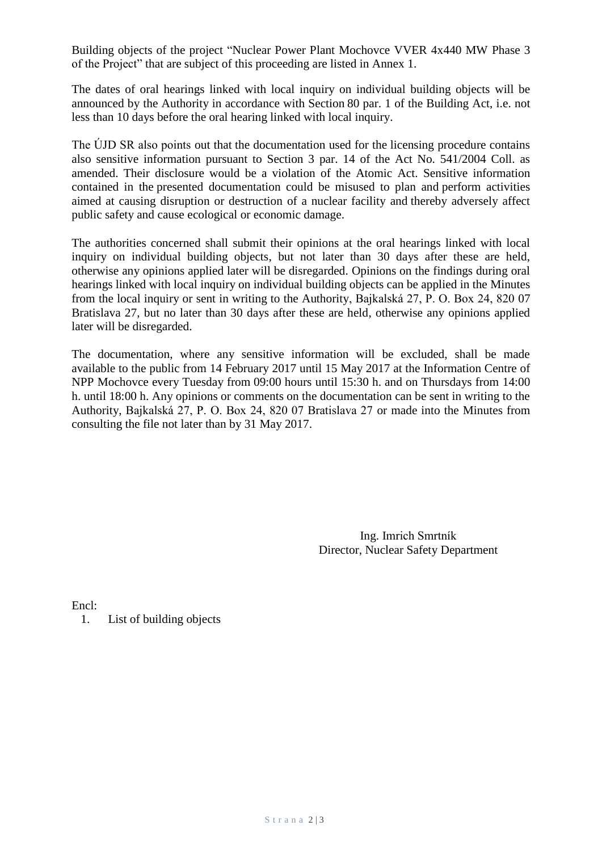Building objects of the project "Nuclear Power Plant Mochovce VVER 4x440 MW Phase 3 of the Project" that are subject of this proceeding are listed in Annex 1.

The dates of oral hearings linked with local inquiry on individual building objects will be announced by the Authority in accordance with Section 80 par. 1 of the Building Act, i.e. not less than 10 days before the oral hearing linked with local inquiry.

The ÚJD SR also points out that the documentation used for the licensing procedure contains also sensitive information pursuant to Section 3 par. 14 of the Act No. 541/2004 Coll. as amended. Their disclosure would be a violation of the Atomic Act. Sensitive information contained in the presented documentation could be misused to plan and perform activities aimed at causing disruption or destruction of a nuclear facility and thereby adversely affect public safety and cause ecological or economic damage.

The authorities concerned shall submit their opinions at the oral hearings linked with local inquiry on individual building objects, but not later than 30 days after these are held, otherwise any opinions applied later will be disregarded. Opinions on the findings during oral hearings linked with local inquiry on individual building objects can be applied in the Minutes from the local inquiry or sent in writing to the Authority, Bajkalská 27, P. O. Box 24, 820 07 Bratislava 27, but no later than 30 days after these are held, otherwise any opinions applied later will be disregarded.

The documentation, where any sensitive information will be excluded, shall be made available to the public from 14 February 2017 until 15 May 2017 at the Information Centre of NPP Mochovce every Tuesday from 09:00 hours until 15:30 h. and on Thursdays from 14:00 h. until 18:00 h. Any opinions or comments on the documentation can be sent in writing to the Authority, Bajkalská 27, P. O. Box 24, 820 07 Bratislava 27 or made into the Minutes from consulting the file not later than by 31 May 2017.

> Ing. Imrich Smrtník Director, Nuclear Safety Department

Encl:

1. List of building objects